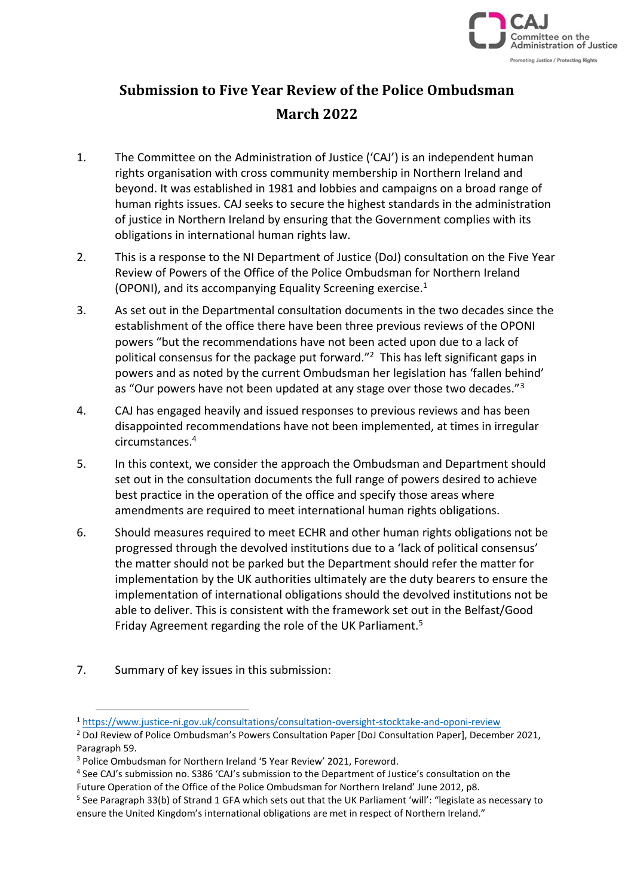

# **Submission to Five Year Review of the Police Ombudsman March 2022**

- 1. The Committee on the Administration of Justice ('CAJ') is an independent human rights organisation with cross community membership in Northern Ireland and beyond. It was established in 1981 and lobbies and campaigns on a broad range of human rights issues. CAJ seeks to secure the highest standards in the administration of justice in Northern Ireland by ensuring that the Government complies with its obligations in international human rights law.
- 2. This is a response to the NI Department of Justice (DoJ) consultation on the Five Year Review of Powers of the Office of the Police Ombudsman for Northern Ireland (OPONI), and its accompanying Equality Screening exercise.<sup>1</sup>
- 3. As set out in the Departmental consultation documents in the two decades since the establishment of the office there have been three previous reviews of the OPONI powers "but the recommendations have not been acted upon due to a lack of political consensus for the package put forward."<sup>2</sup> This has left significant gaps in powers and as noted by the current Ombudsman her legislation has 'fallen behind' as "Our powers have not been updated at any stage over those two decades."<sup>3</sup>
- 4. CAJ has engaged heavily and issued responses to previous reviews and has been disappointed recommendations have not been implemented, at times in irregular circumstances.<sup>4</sup>
- 5. In this context, we consider the approach the Ombudsman and Department should set out in the consultation documents the full range of powers desired to achieve best practice in the operation of the office and specify those areas where amendments are required to meet international human rights obligations.
- 6. Should measures required to meet ECHR and other human rights obligations not be progressed through the devolved institutions due to a 'lack of political consensus' the matter should not be parked but the Department should refer the matter for implementation by the UK authorities ultimately are the duty bearers to ensure the implementation of international obligations should the devolved institutions not be able to deliver. This is consistent with the framework set out in the Belfast/Good Friday Agreement regarding the role of the UK Parliament.<sup>5</sup>
- 7. Summary of key issues in this submission:

<sup>1</sup> <https://www.justice-ni.gov.uk/consultations/consultation-oversight-stocktake-and-oponi-review>

<sup>&</sup>lt;sup>2</sup> DoJ Review of Police Ombudsman's Powers Consultation Paper [DoJ Consultation Paper], December 2021, Paragraph 59.

<sup>3</sup> Police Ombudsman for Northern Ireland '5 Year Review' 2021, Foreword.

<sup>&</sup>lt;sup>4</sup> See CAJ's submission no. S386 'CAJ's submission to the Department of Justice's consultation on the Future Operation of the Office of the Police Ombudsman for Northern Ireland' June 2012, p8.

<sup>&</sup>lt;sup>5</sup> See Paragraph 33(b) of Strand 1 GFA which sets out that the UK Parliament 'will': "legislate as necessary to ensure the United Kingdom's international obligations are met in respect of Northern Ireland."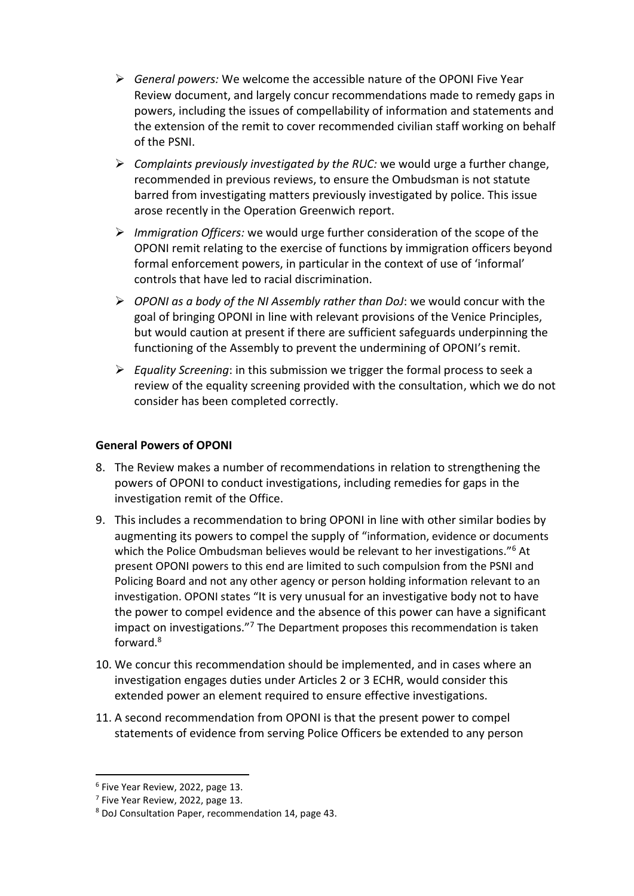- ➢ *General powers:* We welcome the accessible nature of the OPONI Five Year Review document, and largely concur recommendations made to remedy gaps in powers, including the issues of compellability of information and statements and the extension of the remit to cover recommended civilian staff working on behalf of the PSNI.
- ➢ *Complaints previously investigated by the RUC:* we would urge a further change, recommended in previous reviews, to ensure the Ombudsman is not statute barred from investigating matters previously investigated by police. This issue arose recently in the Operation Greenwich report.
- ➢ *Immigration Officers:* we would urge further consideration of the scope of the OPONI remit relating to the exercise of functions by immigration officers beyond formal enforcement powers, in particular in the context of use of 'informal' controls that have led to racial discrimination.
- ➢ *OPONI as a body of the NI Assembly rather than DoJ*: we would concur with the goal of bringing OPONI in line with relevant provisions of the Venice Principles, but would caution at present if there are sufficient safeguards underpinning the functioning of the Assembly to prevent the undermining of OPONI's remit.
- ➢ *Equality Screening*: in this submission we trigger the formal process to seek a review of the equality screening provided with the consultation, which we do not consider has been completed correctly.

## **General Powers of OPONI**

- 8. The Review makes a number of recommendations in relation to strengthening the powers of OPONI to conduct investigations, including remedies for gaps in the investigation remit of the Office.
- 9. This includes a recommendation to bring OPONI in line with other similar bodies by augmenting its powers to compel the supply of "information, evidence or documents which the Police Ombudsman believes would be relevant to her investigations."<sup>6</sup> At present OPONI powers to this end are limited to such compulsion from the PSNI and Policing Board and not any other agency or person holding information relevant to an investigation. OPONI states "It is very unusual for an investigative body not to have the power to compel evidence and the absence of this power can have a significant impact on investigations."<sup>7</sup> The Department proposes this recommendation is taken forward.<sup>8</sup>
- 10. We concur this recommendation should be implemented, and in cases where an investigation engages duties under Articles 2 or 3 ECHR, would consider this extended power an element required to ensure effective investigations.
- 11. A second recommendation from OPONI is that the present power to compel statements of evidence from serving Police Officers be extended to any person

<sup>6</sup> Five Year Review, 2022, page 13.

<sup>&</sup>lt;sup>7</sup> Five Year Review, 2022, page 13.

<sup>8</sup> DoJ Consultation Paper, recommendation 14, page 43.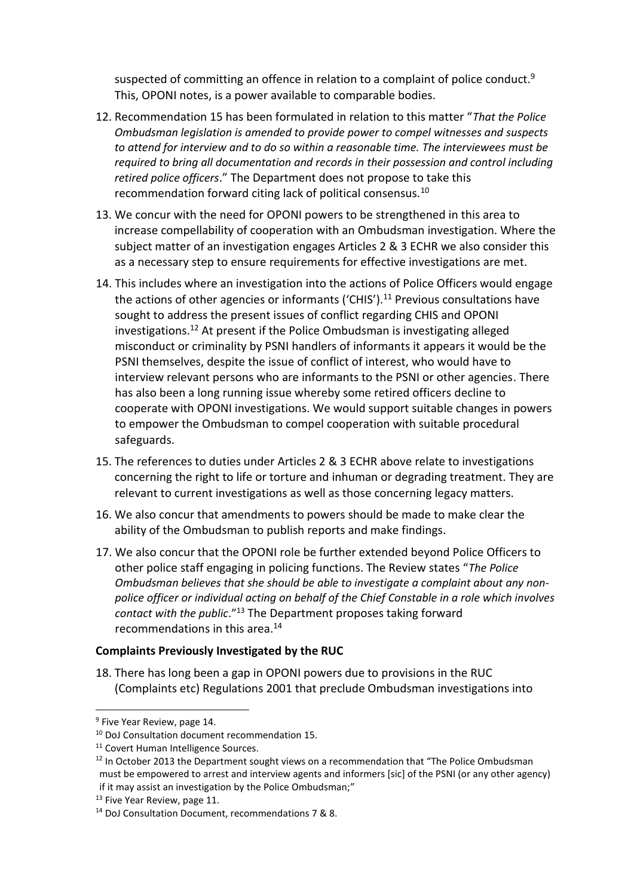suspected of committing an offence in relation to a complaint of police conduct. $9$ This, OPONI notes, is a power available to comparable bodies.

- 12. Recommendation 15 has been formulated in relation to this matter "*That the Police Ombudsman legislation is amended to provide power to compel witnesses and suspects to attend for interview and to do so within a reasonable time. The interviewees must be required to bring all documentation and records in their possession and control including retired police officers*." The Department does not propose to take this recommendation forward citing lack of political consensus.<sup>10</sup>
- 13. We concur with the need for OPONI powers to be strengthened in this area to increase compellability of cooperation with an Ombudsman investigation. Where the subject matter of an investigation engages Articles 2 & 3 ECHR we also consider this as a necessary step to ensure requirements for effective investigations are met.
- 14. This includes where an investigation into the actions of Police Officers would engage the actions of other agencies or informants ('CHIS').<sup>11</sup> Previous consultations have sought to address the present issues of conflict regarding CHIS and OPONI investigations. <sup>12</sup> At present if the Police Ombudsman is investigating alleged misconduct or criminality by PSNI handlers of informants it appears it would be the PSNI themselves, despite the issue of conflict of interest, who would have to interview relevant persons who are informants to the PSNI or other agencies. There has also been a long running issue whereby some retired officers decline to cooperate with OPONI investigations. We would support suitable changes in powers to empower the Ombudsman to compel cooperation with suitable procedural safeguards.
- 15. The references to duties under Articles 2 & 3 ECHR above relate to investigations concerning the right to life or torture and inhuman or degrading treatment. They are relevant to current investigations as well as those concerning legacy matters.
- 16. We also concur that amendments to powers should be made to make clear the ability of the Ombudsman to publish reports and make findings.
- 17. We also concur that the OPONI role be further extended beyond Police Officers to other police staff engaging in policing functions. The Review states "*The Police Ombudsman believes that she should be able to investigate a complaint about any nonpolice officer or individual acting on behalf of the Chief Constable in a role which involves contact with the public*." <sup>13</sup> The Department proposes taking forward recommendations in this area.<sup>14</sup>

### **Complaints Previously Investigated by the RUC**

18. There has long been a gap in OPONI powers due to provisions in the RUC (Complaints etc) Regulations 2001 that preclude Ombudsman investigations into

<sup>&</sup>lt;sup>9</sup> Five Year Review, page 14.

<sup>10</sup> DoJ Consultation document recommendation 15.

<sup>&</sup>lt;sup>11</sup> Covert Human Intelligence Sources.

 $12$  In October 2013 the Department sought views on a recommendation that "The Police Ombudsman must be empowered to arrest and interview agents and informers [sic] of the PSNI (or any other agency) if it may assist an investigation by the Police Ombudsman;"

<sup>&</sup>lt;sup>13</sup> Five Year Review, page 11.

<sup>14</sup> DoJ Consultation Document, recommendations 7 & 8.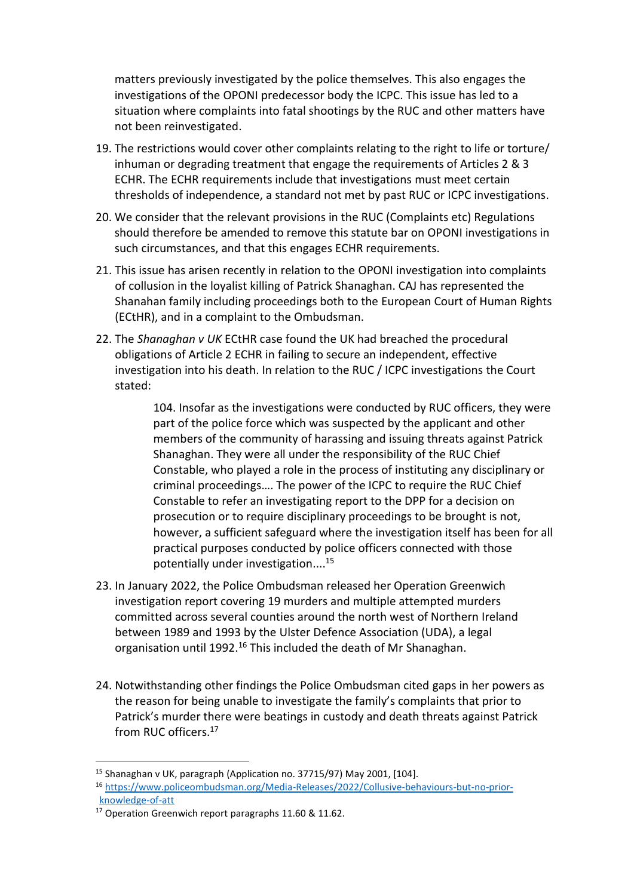matters previously investigated by the police themselves. This also engages the investigations of the OPONI predecessor body the ICPC. This issue has led to a situation where complaints into fatal shootings by the RUC and other matters have not been reinvestigated.

- 19. The restrictions would cover other complaints relating to the right to life or torture/ inhuman or degrading treatment that engage the requirements of Articles 2 & 3 ECHR. The ECHR requirements include that investigations must meet certain thresholds of independence, a standard not met by past RUC or ICPC investigations.
- 20. We consider that the relevant provisions in the RUC (Complaints etc) Regulations should therefore be amended to remove this statute bar on OPONI investigations in such circumstances, and that this engages ECHR requirements.
- 21. This issue has arisen recently in relation to the OPONI investigation into complaints of collusion in the loyalist killing of Patrick Shanaghan. CAJ has represented the Shanahan family including proceedings both to the European Court of Human Rights (ECtHR), and in a complaint to the Ombudsman.
- 22. The *Shanaghan v UK* ECtHR case found the UK had breached the procedural obligations of Article 2 ECHR in failing to secure an independent, effective investigation into his death. In relation to the RUC / ICPC investigations the Court stated:

104. Insofar as the investigations were conducted by RUC officers, they were part of the police force which was suspected by the applicant and other members of the community of harassing and issuing threats against Patrick Shanaghan. They were all under the responsibility of the RUC Chief Constable, who played a role in the process of instituting any disciplinary or criminal proceedings…. The power of the ICPC to require the RUC Chief Constable to refer an investigating report to the DPP for a decision on prosecution or to require disciplinary proceedings to be brought is not, however, a sufficient safeguard where the investigation itself has been for all practical purposes conducted by police officers connected with those potentially under investigation.... 15

- 23. In January 2022, the Police Ombudsman released her Operation Greenwich investigation report covering 19 murders and multiple attempted murders committed across several counties around the north west of Northern Ireland between 1989 and 1993 by the Ulster Defence Association (UDA), a legal organisation until 1992.<sup>16</sup> This included the death of Mr Shanaghan.
- 24. Notwithstanding other findings the Police Ombudsman cited gaps in her powers as the reason for being unable to investigate the family's complaints that prior to Patrick's murder there were beatings in custody and death threats against Patrick from RUC officers.<sup>17</sup>

<sup>15</sup> Shanaghan v UK, paragraph (Application no. 37715/97) May 2001, [104].

<sup>16</sup> [https://www.policeombudsman.org/Media-Releases/2022/Collusive-behaviours-but-no-prior](https://www.policeombudsman.org/Media-Releases/2022/Collusive-behaviours-but-no-prior-knowledge-of-att)[knowledge-of-att](https://www.policeombudsman.org/Media-Releases/2022/Collusive-behaviours-but-no-prior-knowledge-of-att)

<sup>&</sup>lt;sup>17</sup> Operation Greenwich report paragraphs 11.60 & 11.62.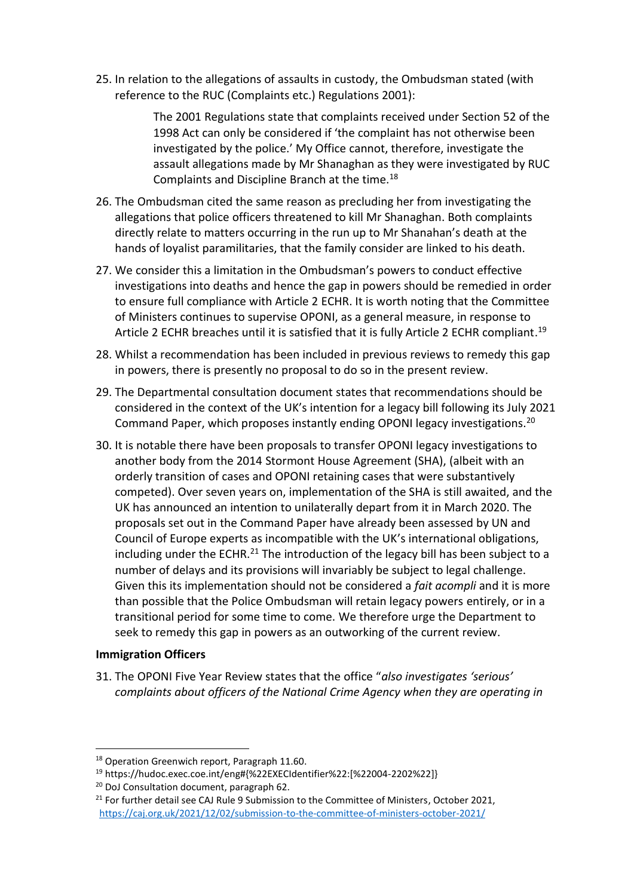25. In relation to the allegations of assaults in custody, the Ombudsman stated (with reference to the RUC (Complaints etc.) Regulations 2001):

> The 2001 Regulations state that complaints received under Section 52 of the 1998 Act can only be considered if 'the complaint has not otherwise been investigated by the police.' My Office cannot, therefore, investigate the assault allegations made by Mr Shanaghan as they were investigated by RUC Complaints and Discipline Branch at the time.<sup>18</sup>

- 26. The Ombudsman cited the same reason as precluding her from investigating the allegations that police officers threatened to kill Mr Shanaghan. Both complaints directly relate to matters occurring in the run up to Mr Shanahan's death at the hands of loyalist paramilitaries, that the family consider are linked to his death.
- 27. We consider this a limitation in the Ombudsman's powers to conduct effective investigations into deaths and hence the gap in powers should be remedied in order to ensure full compliance with Article 2 ECHR. It is worth noting that the Committee of Ministers continues to supervise OPONI, as a general measure, in response to Article 2 ECHR breaches until it is satisfied that it is fully Article 2 ECHR compliant.<sup>19</sup>
- 28. Whilst a recommendation has been included in previous reviews to remedy this gap in powers, there is presently no proposal to do so in the present review.
- 29. The Departmental consultation document states that recommendations should be considered in the context of the UK's intention for a legacy bill following its July 2021 Command Paper, which proposes instantly ending OPONI legacy investigations.<sup>20</sup>
- 30. It is notable there have been proposals to transfer OPONI legacy investigations to another body from the 2014 Stormont House Agreement (SHA), (albeit with an orderly transition of cases and OPONI retaining cases that were substantively competed). Over seven years on, implementation of the SHA is still awaited, and the UK has announced an intention to unilaterally depart from it in March 2020. The proposals set out in the Command Paper have already been assessed by UN and Council of Europe experts as incompatible with the UK's international obligations, including under the ECHR.<sup>21</sup> The introduction of the legacy bill has been subject to a number of delays and its provisions will invariably be subject to legal challenge. Given this its implementation should not be considered a *fait acompli* and it is more than possible that the Police Ombudsman will retain legacy powers entirely, or in a transitional period for some time to come. We therefore urge the Department to seek to remedy this gap in powers as an outworking of the current review.

### **Immigration Officers**

31. The OPONI Five Year Review states that the office "*also investigates 'serious' complaints about officers of the National Crime Agency when they are operating in* 

<sup>&</sup>lt;sup>18</sup> Operation Greenwich report, Paragraph 11.60.

<sup>19</sup> https://hudoc.exec.coe.int/eng#{%22EXECIdentifier%22:[%22004-2202%22]}

<sup>&</sup>lt;sup>20</sup> DoJ Consultation document, paragraph 62.

 $21$  For further detail see CAJ Rule 9 Submission to the Committee of Ministers, October 2021, <https://caj.org.uk/2021/12/02/submission-to-the-committee-of-ministers-october-2021/>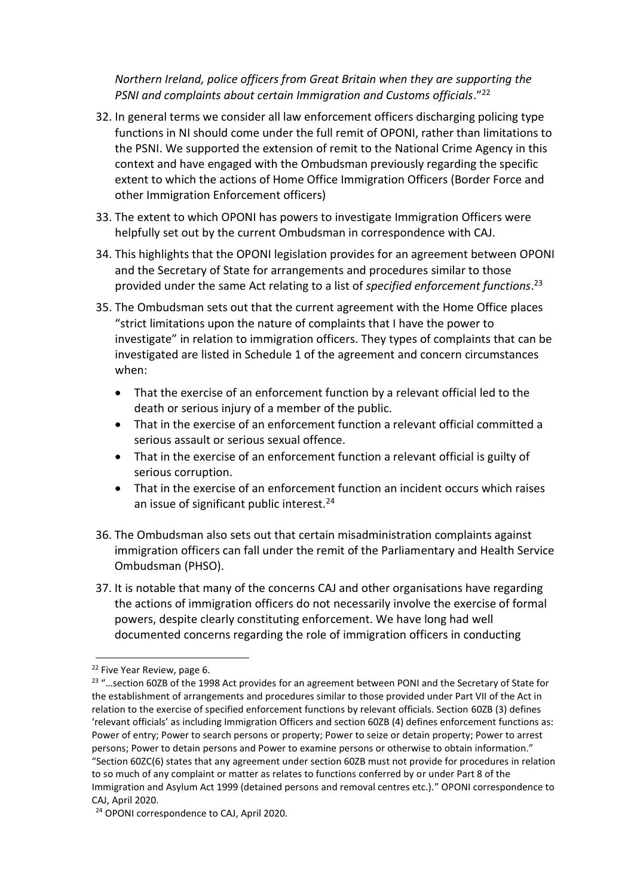*Northern Ireland, police officers from Great Britain when they are supporting the PSNI and complaints about certain Immigration and Customs officials*." 22

- 32. In general terms we consider all law enforcement officers discharging policing type functions in NI should come under the full remit of OPONI, rather than limitations to the PSNI. We supported the extension of remit to the National Crime Agency in this context and have engaged with the Ombudsman previously regarding the specific extent to which the actions of Home Office Immigration Officers (Border Force and other Immigration Enforcement officers)
- 33. The extent to which OPONI has powers to investigate Immigration Officers were helpfully set out by the current Ombudsman in correspondence with CAJ.
- 34. This highlights that the OPONI legislation provides for an agreement between OPONI and the Secretary of State for arrangements and procedures similar to those provided under the same Act relating to a list of *specified enforcement functions*. 23
- 35. The Ombudsman sets out that the current agreement with the Home Office places "strict limitations upon the nature of complaints that I have the power to investigate" in relation to immigration officers. They types of complaints that can be investigated are listed in Schedule 1 of the agreement and concern circumstances when:
	- That the exercise of an enforcement function by a relevant official led to the death or serious injury of a member of the public.
	- That in the exercise of an enforcement function a relevant official committed a serious assault or serious sexual offence.
	- That in the exercise of an enforcement function a relevant official is guilty of serious corruption.
	- That in the exercise of an enforcement function an incident occurs which raises an issue of significant public interest. $24$
- 36. The Ombudsman also sets out that certain misadministration complaints against immigration officers can fall under the remit of the Parliamentary and Health Service Ombudsman (PHSO).
- 37. It is notable that many of the concerns CAJ and other organisations have regarding the actions of immigration officers do not necessarily involve the exercise of formal powers, despite clearly constituting enforcement. We have long had well documented concerns regarding the role of immigration officers in conducting

<sup>22</sup> Five Year Review, page 6.

<sup>&</sup>lt;sup>23</sup> "...section 60ZB of the 1998 Act provides for an agreement between PONI and the Secretary of State for the establishment of arrangements and procedures similar to those provided under Part VII of the Act in relation to the exercise of specified enforcement functions by relevant officials. Section 60ZB (3) defines 'relevant officials' as including Immigration Officers and section 60ZB (4) defines enforcement functions as: Power of entry; Power to search persons or property; Power to seize or detain property; Power to arrest persons; Power to detain persons and Power to examine persons or otherwise to obtain information." "Section 60ZC(6) states that any agreement under section 60ZB must not provide for procedures in relation to so much of any complaint or matter as relates to functions conferred by or under Part 8 of the Immigration and Asylum Act 1999 (detained persons and removal centres etc.)." OPONI correspondence to CAJ, April 2020.

<sup>24</sup> OPONI correspondence to CAJ, April 2020.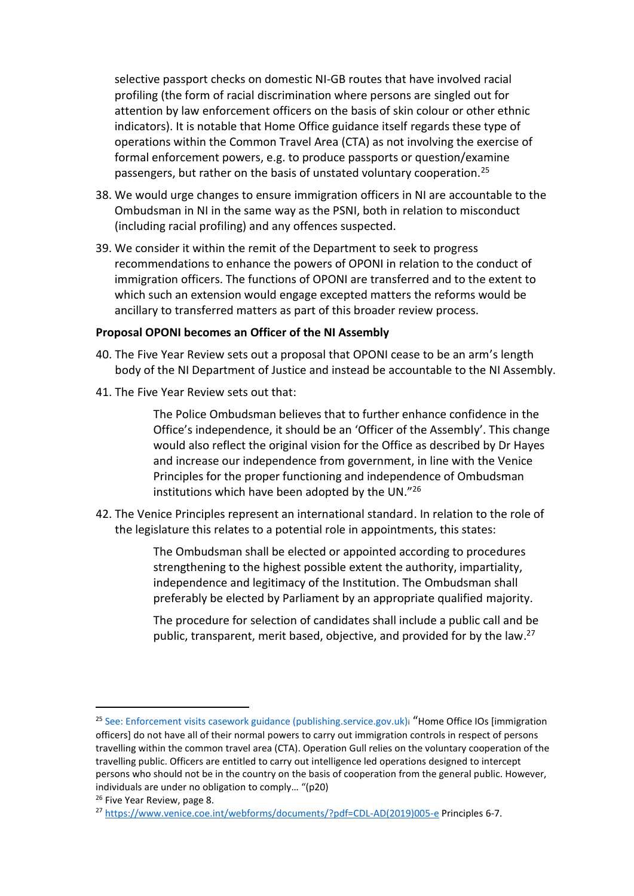selective passport checks on domestic NI-GB routes that have involved racial profiling (the form of racial discrimination where persons are singled out for attention by law enforcement officers on the basis of skin colour or other ethnic indicators). It is notable that Home Office guidance itself regards these type of operations within the Common Travel Area (CTA) as not involving the exercise of formal enforcement powers, e.g. to produce passports or question/examine passengers, but rather on the basis of unstated voluntary cooperation.<sup>25</sup>

- 38. We would urge changes to ensure immigration officers in NI are accountable to the Ombudsman in NI in the same way as the PSNI, both in relation to misconduct (including racial profiling) and any offences suspected.
- 39. We consider it within the remit of the Department to seek to progress recommendations to enhance the powers of OPONI in relation to the conduct of immigration officers. The functions of OPONI are transferred and to the extent to which such an extension would engage excepted matters the reforms would be ancillary to transferred matters as part of this broader review process.

#### **Proposal OPONI becomes an Officer of the NI Assembly**

- 40. The Five Year Review sets out a proposal that OPONI cease to be an arm's length body of the NI Department of Justice and instead be accountable to the NI Assembly.
- 41. The Five Year Review sets out that:

The Police Ombudsman believes that to further enhance confidence in the Office's independence, it should be an 'Officer of the Assembly'. This change would also reflect the original vision for the Office as described by Dr Hayes and increase our independence from government, in line with the Venice Principles for the proper functioning and independence of Ombudsman institutions which have been adopted by the UN."<sup>26</sup>

42. The Venice Principles represent an international standard. In relation to the role of the legislature this relates to a potential role in appointments, this states:

> The Ombudsman shall be elected or appointed according to procedures strengthening to the highest possible extent the authority, impartiality, independence and legitimacy of the Institution. The Ombudsman shall preferably be elected by Parliament by an appropriate qualified majority.

The procedure for selection of candidates shall include a public call and be public, transparent, merit based, objective, and provided for by the law.<sup>27</sup>

<sup>&</sup>lt;sup>25</sup> See: Enforcement visits casework guidance (publishing.service.gov.uk)i "Home Office IOs [immigration officers] do not have all of their normal powers to carry out immigration controls in respect of persons travelling within the common travel area (CTA). Operation Gull relies on the voluntary cooperation of the travelling public. Officers are entitled to carry out intelligence led operations designed to intercept persons who should not be in the country on the basis of cooperation from the general public. However, individuals are under no obligation to comply… "(p20)

<sup>&</sup>lt;sup>26</sup> Five Year Review, page 8.

<sup>&</sup>lt;sup>27</sup> [https://www.venice.coe.int/webforms/documents/?pdf=CDL-AD\(2019\)005-e](https://www.venice.coe.int/webforms/documents/?pdf=CDL-AD(2019)005-e) Principles 6-7.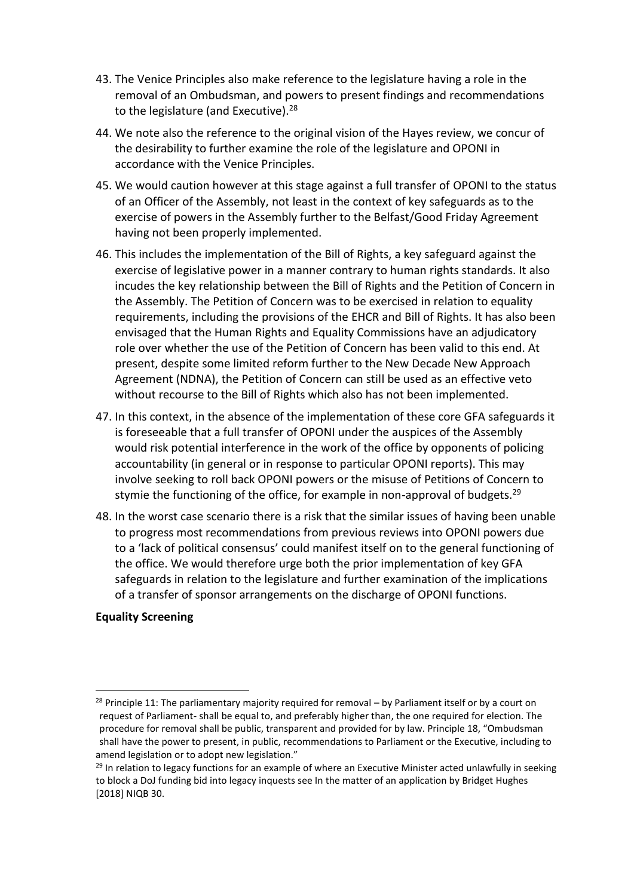- 43. The Venice Principles also make reference to the legislature having a role in the removal of an Ombudsman, and powers to present findings and recommendations to the legislature (and Executive). $28$
- 44. We note also the reference to the original vision of the Hayes review, we concur of the desirability to further examine the role of the legislature and OPONI in accordance with the Venice Principles.
- 45. We would caution however at this stage against a full transfer of OPONI to the status of an Officer of the Assembly, not least in the context of key safeguards as to the exercise of powers in the Assembly further to the Belfast/Good Friday Agreement having not been properly implemented.
- 46. This includes the implementation of the Bill of Rights, a key safeguard against the exercise of legislative power in a manner contrary to human rights standards. It also incudes the key relationship between the Bill of Rights and the Petition of Concern in the Assembly. The Petition of Concern was to be exercised in relation to equality requirements, including the provisions of the EHCR and Bill of Rights. It has also been envisaged that the Human Rights and Equality Commissions have an adjudicatory role over whether the use of the Petition of Concern has been valid to this end. At present, despite some limited reform further to the New Decade New Approach Agreement (NDNA), the Petition of Concern can still be used as an effective veto without recourse to the Bill of Rights which also has not been implemented.
- 47. In this context, in the absence of the implementation of these core GFA safeguards it is foreseeable that a full transfer of OPONI under the auspices of the Assembly would risk potential interference in the work of the office by opponents of policing accountability (in general or in response to particular OPONI reports). This may involve seeking to roll back OPONI powers or the misuse of Petitions of Concern to stymie the functioning of the office, for example in non-approval of budgets.<sup>29</sup>
- 48. In the worst case scenario there is a risk that the similar issues of having been unable to progress most recommendations from previous reviews into OPONI powers due to a 'lack of political consensus' could manifest itself on to the general functioning of the office. We would therefore urge both the prior implementation of key GFA safeguards in relation to the legislature and further examination of the implications of a transfer of sponsor arrangements on the discharge of OPONI functions.

### **Equality Screening**

 $28$  Principle 11: The parliamentary majority required for removal – by Parliament itself or by a court on request of Parliament- shall be equal to, and preferably higher than, the one required for election. The procedure for removal shall be public, transparent and provided for by law. Principle 18, "Ombudsman shall have the power to present, in public, recommendations to Parliament or the Executive, including to amend legislation or to adopt new legislation."

 $29$  In relation to legacy functions for an example of where an Executive Minister acted unlawfully in seeking to block a DoJ funding bid into legacy inquests see In the matter of an application by Bridget Hughes [2018] NIQB 30.